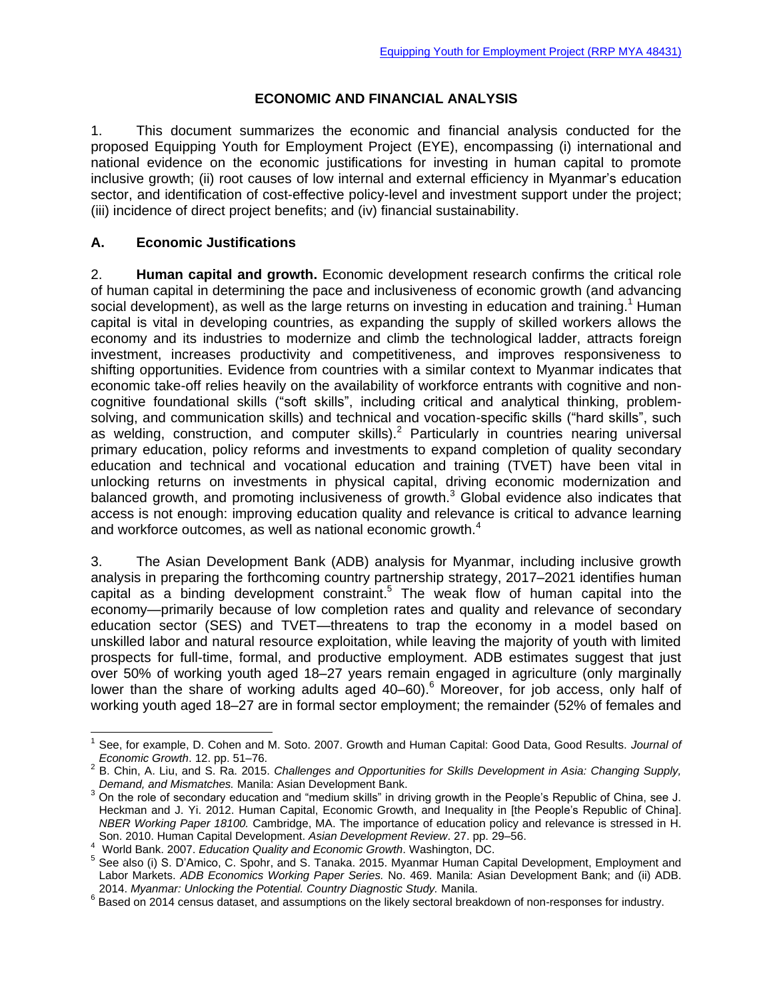### **ECONOMIC AND FINANCIAL ANALYSIS**

1. This document summarizes the economic and financial analysis conducted for the proposed Equipping Youth for Employment Project (EYE), encompassing (i) international and national evidence on the economic justifications for investing in human capital to promote inclusive growth; (ii) root causes of low internal and external efficiency in Myanmar's education sector, and identification of cost-effective policy-level and investment support under the project; (iii) incidence of direct project benefits; and (iv) financial sustainability.

### **A. Economic Justifications**

2. **Human capital and growth.** Economic development research confirms the critical role of human capital in determining the pace and inclusiveness of economic growth (and advancing social development), as well as the large returns on investing in education and training.<sup>1</sup> Human capital is vital in developing countries, as expanding the supply of skilled workers allows the economy and its industries to modernize and climb the technological ladder, attracts foreign investment, increases productivity and competitiveness, and improves responsiveness to shifting opportunities. Evidence from countries with a similar context to Myanmar indicates that economic take-off relies heavily on the availability of workforce entrants with cognitive and noncognitive foundational skills ("soft skills", including critical and analytical thinking, problemsolving, and communication skills) and technical and vocation-specific skills ("hard skills", such as welding, construction, and computer skills).<sup>2</sup> Particularly in countries nearing universal primary education, policy reforms and investments to expand completion of quality secondary education and technical and vocational education and training (TVET) have been vital in unlocking returns on investments in physical capital, driving economic modernization and balanced growth, and promoting inclusiveness of growth. $3$  Global evidence also indicates that access is not enough: improving education quality and relevance is critical to advance learning and workforce outcomes, as well as national economic growth. $4$ 

3. The Asian Development Bank (ADB) analysis for Myanmar, including inclusive growth analysis in preparing the forthcoming country partnership strategy, 2017–2021 identifies human capital as a binding development constraint. <sup>5</sup> The weak flow of human capital into the economy—primarily because of low completion rates and quality and relevance of secondary education sector (SES) and TVET—threatens to trap the economy in a model based on unskilled labor and natural resource exploitation, while leaving the majority of youth with limited prospects for full-time, formal, and productive employment. ADB estimates suggest that just over 50% of working youth aged 18–27 years remain engaged in agriculture (only marginally lower than the share of working adults aged 40–60).<sup>6</sup> Moreover, for job access, only half of working youth aged 18–27 are in formal sector employment; the remainder (52% of females and

 <sup>1</sup> See, for example, D. Cohen and M. Soto. 2007. Growth and Human Capital: Good Data, Good Results. *Journal of Economic Growth*. 12. pp. 51–76.

<sup>2</sup> B. Chin, A. Liu, and S. Ra. 2015. *Challenges and Opportunities for Skills Development in Asia: Changing Supply, Demand, and Mismatches.* Manila: Asian Development Bank.

<sup>&</sup>lt;sup>3</sup> On the role of secondary education and "medium skills" in driving growth in the People's Republic of China, see J. Heckman and J. Yi. 2012. Human Capital, Economic Growth, and Inequality in [the People's Republic of China]. *NBER Working Paper 18100.* Cambridge, MA. The importance of education policy and relevance is stressed in H. Son. 2010. Human Capital Development. *Asian Development Review*. 27. pp. 29–56.

<sup>4</sup> World Bank. 2007. *Education Quality and Economic Growth*. Washington, DC.

<sup>5</sup> See also (i) S. D'Amico, C. Spohr, and S. Tanaka. 2015. Myanmar Human Capital Development, Employment and Labor Markets. *ADB Economics Working Paper Series.* No. 469. Manila: Asian Development Bank; and (ii) ADB. 2014. *Myanmar: Unlocking the Potential. Country Diagnostic Study.* Manila.

<sup>6</sup> Based on 2014 census dataset, and assumptions on the likely sectoral breakdown of non-responses for industry.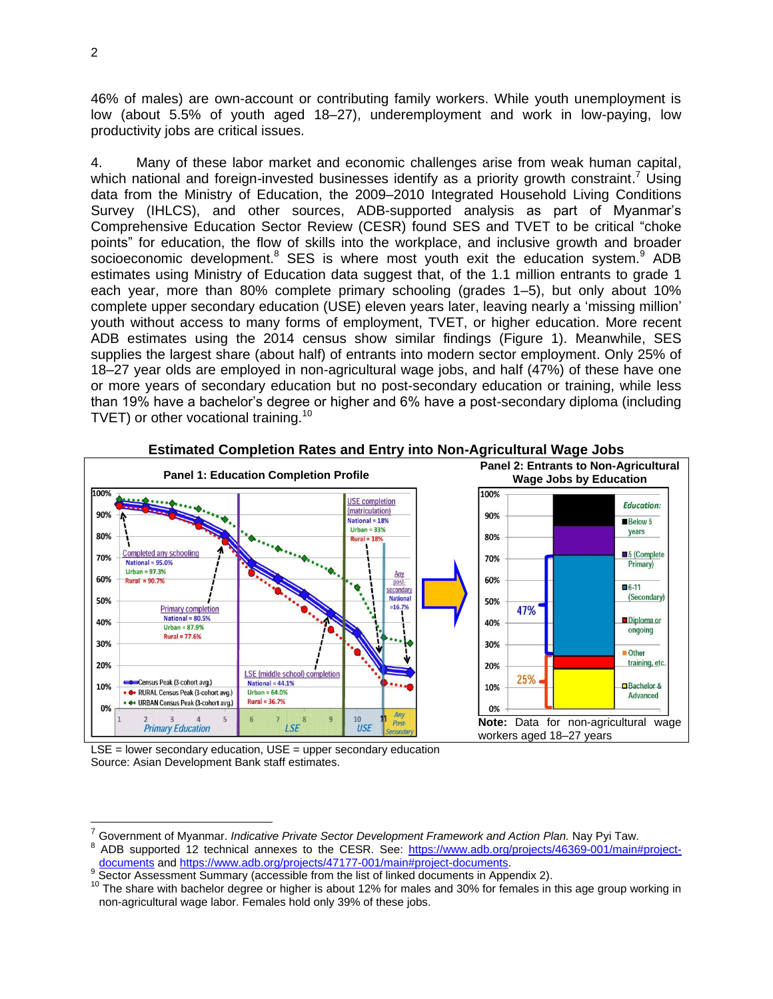46% of males) are own-account or contributing family workers. While youth unemployment is low (about 5.5% of youth aged 18–27), underemployment and work in low-paying, low productivity jobs are critical issues.

4. Many of these labor market and economic challenges arise from weak human capital, which national and foreign-invested businesses identify as a priority growth constraint.<sup>7</sup> Using data from the Ministry of Education, the 2009–2010 Integrated Household Living Conditions Survey (IHLCS), and other sources, ADB-supported analysis as part of Myanmar's Comprehensive Education Sector Review (CESR) found SES and TVET to be critical "choke points" for education, the flow of skills into the workplace, and inclusive growth and broader socioeconomic development.<sup>8</sup> SES is where most youth exit the education system.<sup>9</sup> ADB estimates using Ministry of Education data suggest that, of the 1.1 million entrants to grade 1 each year, more than 80% complete primary schooling (grades 1–5), but only about 10% complete upper secondary education (USE) eleven years later, leaving nearly a 'missing million' youth without access to many forms of employment, TVET, or higher education. More recent ADB estimates using the 2014 census show similar findings (Figure 1). Meanwhile, SES supplies the largest share (about half) of entrants into modern sector employment. Only 25% of 18–27 year olds are employed in non-agricultural wage jobs, and half (47%) of these have one or more years of secondary education but no post-secondary education or training, while less than 19% have a bachelor's degree or higher and 6% have a post-secondary diploma (including TVET) or other vocational training.<sup>10</sup>



#### **Estimated Completion Rates and Entry into Non-Agricultural Wage Jobs**

LSE = lower secondary education, USE = upper secondary education Source: Asian Development Bank staff estimates.

<sup>7</sup> Government of Myanmar. *Indicative Private Sector Development Framework and Action Plan.* Nay Pyi Taw.

<sup>8</sup> ADB supported 12 technical annexes to the CESR. See: [https://www.adb.org/projects/46369-001/main#project](https://www.adb.org/projects/46369-001/main#project-documents)[documents](https://www.adb.org/projects/46369-001/main#project-documents) an[d https://www.adb.org/projects/47177-001/main#project-documents.](https://www.adb.org/projects/47177-001/main#project-documents)

<sup>&</sup>lt;sup>9</sup> Sector Assessment Summary (accessible from the list of linked documents in Appendix 2).

 $10$  The share with bachelor degree or higher is about 12% for males and 30% for females in this age group working in non-agricultural wage labor. Females hold only 39% of these jobs.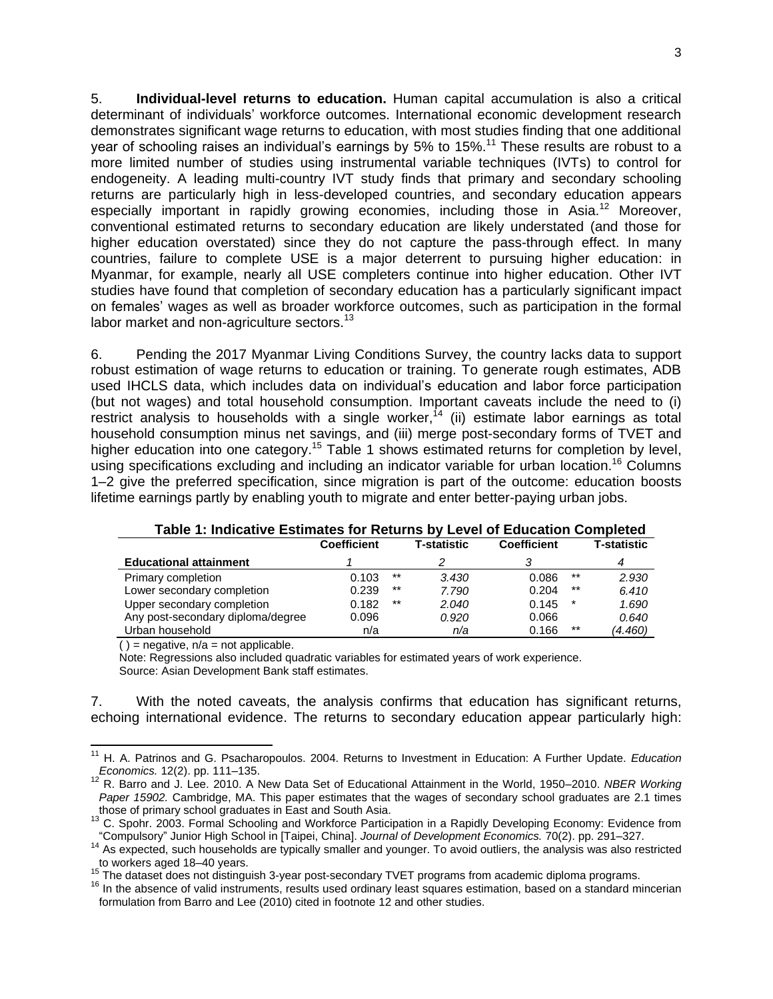5. **Individual-level returns to education.** Human capital accumulation is also a critical determinant of individuals' workforce outcomes. International economic development research demonstrates significant wage returns to education, with most studies finding that one additional year of schooling raises an individual's earnings by 5% to 15%.<sup>11</sup> These results are robust to a more limited number of studies using instrumental variable techniques (IVTs) to control for endogeneity. A leading multi-country IVT study finds that primary and secondary schooling returns are particularly high in less-developed countries, and secondary education appears especially important in rapidly growing economies, including those in Asia.<sup>12</sup> Moreover, conventional estimated returns to secondary education are likely understated (and those for higher education overstated) since they do not capture the pass-through effect. In many countries, failure to complete USE is a major deterrent to pursuing higher education: in Myanmar, for example, nearly all USE completers continue into higher education. Other IVT studies have found that completion of secondary education has a particularly significant impact on females' wages as well as broader workforce outcomes, such as participation in the formal labor market and non-agriculture sectors.<sup>13</sup>

6. Pending the 2017 Myanmar Living Conditions Survey, the country lacks data to support robust estimation of wage returns to education or training. To generate rough estimates, ADB used IHCLS data, which includes data on individual's education and labor force participation (but not wages) and total household consumption. Important caveats include the need to (i) restrict analysis to households with a single worker,<sup>14</sup> (ii) estimate labor earnings as total household consumption minus net savings, and (iii) merge post-secondary forms of TVET and higher education into one category.<sup>15</sup> Table 1 shows estimated returns for completion by level, using specifications excluding and including an indicator variable for urban location.<sup>16</sup> Columns 1–2 give the preferred specification, since migration is part of the outcome: education boosts lifetime earnings partly by enabling youth to migrate and enter better-paying urban jobs.

|                                   | <b>Coefficient</b> |       | <b>T-statistic</b> | <b>Coefficient</b> |        | T-statistic |  |
|-----------------------------------|--------------------|-------|--------------------|--------------------|--------|-------------|--|
| <b>Educational attainment</b>     |                    |       |                    |                    |        | 4           |  |
| Primary completion                | 0.103              | $***$ | 3.430              | 0.086              | $***$  | 2.930       |  |
| Lower secondary completion        | 0.239              | $***$ | 7.790              | 0.204              | $***$  | 6.410       |  |
| Upper secondary completion        | 0.182              | $***$ | 2.040              | 0.145              | $\ast$ | 1.690       |  |
| Any post-secondary diploma/degree | 0.096              |       | 0.920              | 0.066              |        | 0.640       |  |
| Urban household                   | n/a                |       | n/a                | 0.166              | $***$  | (4.460)     |  |

#### **Table 1: Indicative Estimates for Returns by Level of Education Completed**

 $()$  = negative,  $n/a$  = not applicable.

Note: Regressions also included quadratic variables for estimated years of work experience. Source: Asian Development Bank staff estimates.

7. With the noted caveats, the analysis confirms that education has significant returns, echoing international evidence. The returns to secondary education appear particularly high:

<sup>11</sup> H. A. Patrinos and G. Psacharopoulos. 2004. Returns to Investment in Education: A Further Update. *Education Economics.* 12(2). pp. 111–135.

<sup>12</sup> R. Barro and J. Lee. 2010. A New Data Set of Educational Attainment in the World, 1950–2010. *NBER Working Paper 15902.* Cambridge, MA. This paper estimates that the wages of secondary school graduates are 2.1 times those of primary school graduates in East and South Asia.

<sup>1&</sup>lt;sup>11</sup> C. Spohr. 2003. Formal Schooling and Workforce Participation in a Rapidly Developing Economy: Evidence from "Compulsory" Junior High School in [Taipei, China]. *Journal of Development Economics.* 70(2). pp. 291–327.

<sup>14</sup> As expected, such households are typically smaller and younger. To avoid outliers, the analysis was also restricted to workers aged 18–40 years.

<sup>&</sup>lt;sup>15</sup> The dataset does not distinguish 3-year post-secondary TVET programs from academic diploma programs.

<sup>&</sup>lt;sup>16</sup> In the absence of valid instruments, results used ordinary least squares estimation, based on a standard mincerian formulation from Barro and Lee (2010) cited in footnote 12 and other studies.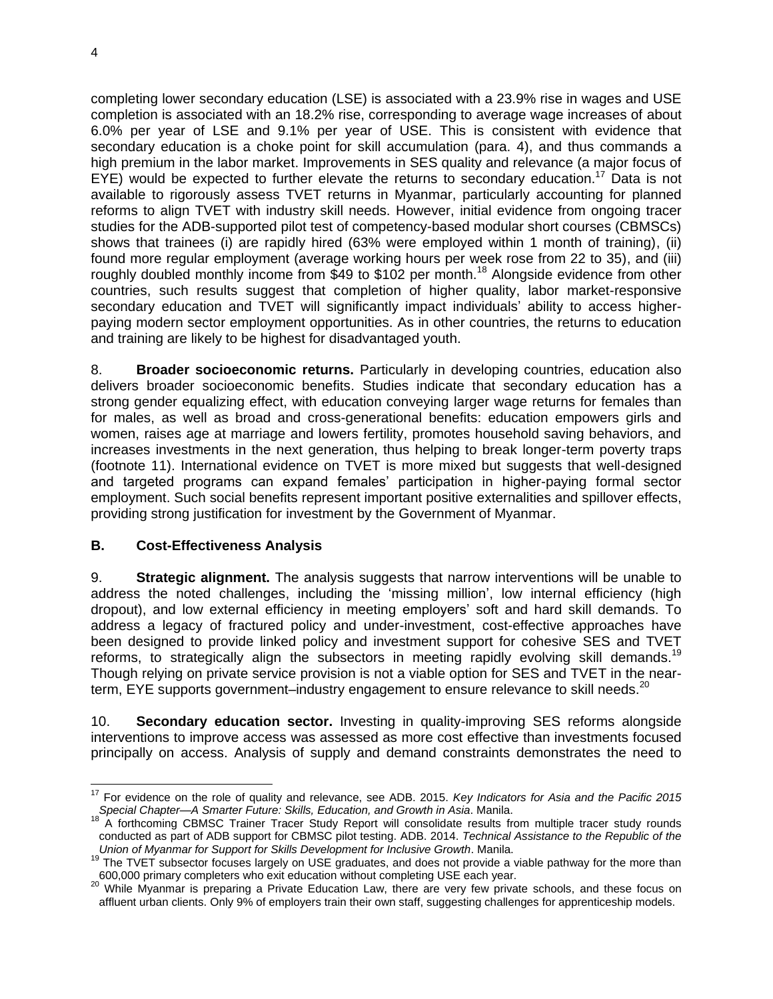completing lower secondary education (LSE) is associated with a 23.9% rise in wages and USE completion is associated with an 18.2% rise, corresponding to average wage increases of about 6.0% per year of LSE and 9.1% per year of USE. This is consistent with evidence that secondary education is a choke point for skill accumulation (para. 4), and thus commands a high premium in the labor market. Improvements in SES quality and relevance (a major focus of  $EYE$ ) would be expected to further elevate the returns to secondary education.<sup>17</sup> Data is not available to rigorously assess TVET returns in Myanmar, particularly accounting for planned reforms to align TVET with industry skill needs. However, initial evidence from ongoing tracer studies for the ADB-supported pilot test of competency-based modular short courses (CBMSCs) shows that trainees (i) are rapidly hired (63% were employed within 1 month of training), (ii) found more regular employment (average working hours per week rose from 22 to 35), and (iii) roughly doubled monthly income from \$49 to \$102 per month.<sup>18</sup> Alongside evidence from other countries, such results suggest that completion of higher quality, labor market-responsive secondary education and TVET will significantly impact individuals' ability to access higherpaying modern sector employment opportunities. As in other countries, the returns to education and training are likely to be highest for disadvantaged youth.

8. **Broader socioeconomic returns.** Particularly in developing countries, education also delivers broader socioeconomic benefits. Studies indicate that secondary education has a strong gender equalizing effect, with education conveying larger wage returns for females than for males, as well as broad and cross-generational benefits: education empowers girls and women, raises age at marriage and lowers fertility, promotes household saving behaviors, and increases investments in the next generation, thus helping to break longer-term poverty traps (footnote 11). International evidence on TVET is more mixed but suggests that well-designed and targeted programs can expand females' participation in higher-paying formal sector employment. Such social benefits represent important positive externalities and spillover effects, providing strong justification for investment by the Government of Myanmar.

### **B. Cost-Effectiveness Analysis**

9. **Strategic alignment.** The analysis suggests that narrow interventions will be unable to address the noted challenges, including the 'missing million', low internal efficiency (high dropout), and low external efficiency in meeting employers' soft and hard skill demands. To address a legacy of fractured policy and under-investment, cost-effective approaches have been designed to provide linked policy and investment support for cohesive SES and TVET reforms, to strategically align the subsectors in meeting rapidly evolving skill demands.<sup>19</sup> Though relying on private service provision is not a viable option for SES and TVET in the nearterm, EYE supports government–industry engagement to ensure relevance to skill needs.<sup>20</sup>

10. **Secondary education sector.** Investing in quality-improving SES reforms alongside interventions to improve access was assessed as more cost effective than investments focused principally on access. Analysis of supply and demand constraints demonstrates the need to

 <sup>17</sup> For evidence on the role of quality and relevance, see ADB. 2015. *Key Indicators for Asia and the Pacific 2015 Special Chapter—A Smarter Future: Skills, Education, and Growth in Asia*. Manila.

<sup>&</sup>lt;sup>18</sup> A forthcoming CBMSC Trainer Tracer Study Report will consolidate results from multiple tracer study rounds conducted as part of ADB support for CBMSC pilot testing. ADB. 2014. *Technical Assistance to the Republic of the Union of Myanmar for Support for Skills Development for Inclusive Growth*. Manila.

<sup>&</sup>lt;sup>19</sup> The TVET subsector focuses largely on USE graduates, and does not provide a viable pathway for the more than 600,000 primary completers who exit education without completing USE each year.

<sup>20</sup> While Myanmar is preparing a Private Education Law, there are very few private schools, and these focus on affluent urban clients. Only 9% of employers train their own staff, suggesting challenges for apprenticeship models.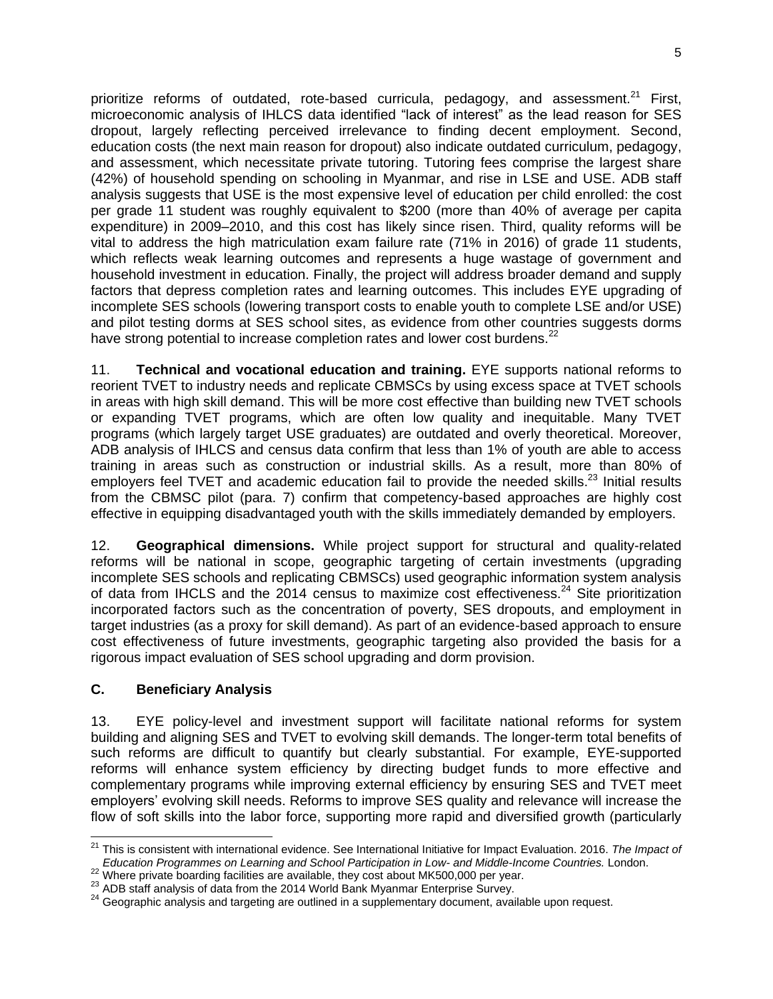prioritize reforms of outdated, rote-based curricula, pedagogy, and assessment.<sup>21</sup> First, microeconomic analysis of IHLCS data identified "lack of interest" as the lead reason for SES dropout, largely reflecting perceived irrelevance to finding decent employment. Second, education costs (the next main reason for dropout) also indicate outdated curriculum, pedagogy, and assessment, which necessitate private tutoring. Tutoring fees comprise the largest share (42%) of household spending on schooling in Myanmar, and rise in LSE and USE. ADB staff analysis suggests that USE is the most expensive level of education per child enrolled: the cost per grade 11 student was roughly equivalent to \$200 (more than 40% of average per capita expenditure) in 2009–2010, and this cost has likely since risen. Third, quality reforms will be vital to address the high matriculation exam failure rate (71% in 2016) of grade 11 students, which reflects weak learning outcomes and represents a huge wastage of government and household investment in education. Finally, the project will address broader demand and supply factors that depress completion rates and learning outcomes. This includes EYE upgrading of incomplete SES schools (lowering transport costs to enable youth to complete LSE and/or USE) and pilot testing dorms at SES school sites, as evidence from other countries suggests dorms have strong potential to increase completion rates and lower cost burdens.<sup>22</sup>

11. **Technical and vocational education and training.** EYE supports national reforms to reorient TVET to industry needs and replicate CBMSCs by using excess space at TVET schools in areas with high skill demand. This will be more cost effective than building new TVET schools or expanding TVET programs, which are often low quality and inequitable. Many TVET programs (which largely target USE graduates) are outdated and overly theoretical. Moreover, ADB analysis of IHLCS and census data confirm that less than 1% of youth are able to access training in areas such as construction or industrial skills. As a result, more than 80% of employers feel TVET and academic education fail to provide the needed skills.<sup>23</sup> Initial results from the CBMSC pilot (para. 7) confirm that competency-based approaches are highly cost effective in equipping disadvantaged youth with the skills immediately demanded by employers.

12. **Geographical dimensions.** While project support for structural and quality-related reforms will be national in scope, geographic targeting of certain investments (upgrading incomplete SES schools and replicating CBMSCs) used geographic information system analysis of data from IHCLS and the 2014 census to maximize cost effectiveness.<sup>24</sup> Site prioritization incorporated factors such as the concentration of poverty, SES dropouts, and employment in target industries (as a proxy for skill demand). As part of an evidence-based approach to ensure cost effectiveness of future investments, geographic targeting also provided the basis for a rigorous impact evaluation of SES school upgrading and dorm provision.

# **C. Beneficiary Analysis**

 $\overline{a}$ 

13. EYE policy-level and investment support will facilitate national reforms for system building and aligning SES and TVET to evolving skill demands. The longer-term total benefits of such reforms are difficult to quantify but clearly substantial. For example, EYE-supported reforms will enhance system efficiency by directing budget funds to more effective and complementary programs while improving external efficiency by ensuring SES and TVET meet employers' evolving skill needs. Reforms to improve SES quality and relevance will increase the flow of soft skills into the labor force, supporting more rapid and diversified growth (particularly

<sup>21</sup> This is consistent with international evidence. See International Initiative for Impact Evaluation. 2016. *The Impact of Education Programmes on Learning and School Participation in Low- and Middle-Income Countries.* London.

<sup>22</sup> Where private boarding facilities are available, they cost about MK500,000 per year.

<sup>23</sup> ADB staff analysis of data from the 2014 World Bank Myanmar Enterprise Survey.

<sup>&</sup>lt;sup>24</sup> Geographic analysis and targeting are outlined in a supplementary document, available upon request.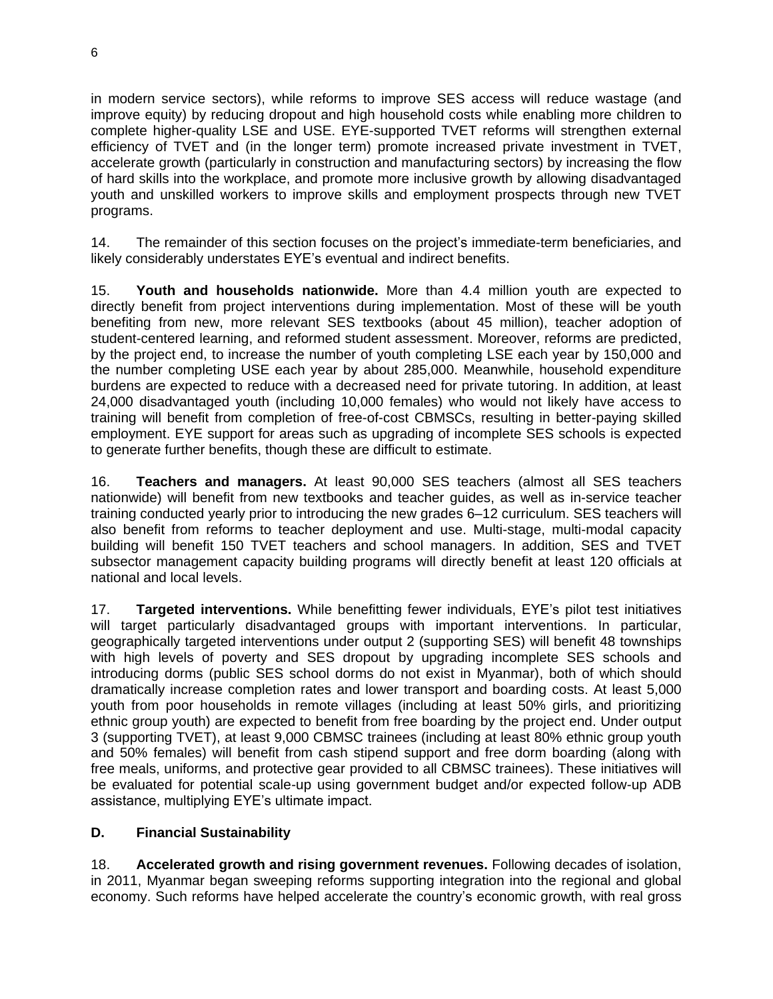in modern service sectors), while reforms to improve SES access will reduce wastage (and improve equity) by reducing dropout and high household costs while enabling more children to complete higher-quality LSE and USE. EYE-supported TVET reforms will strengthen external efficiency of TVET and (in the longer term) promote increased private investment in TVET, accelerate growth (particularly in construction and manufacturing sectors) by increasing the flow of hard skills into the workplace, and promote more inclusive growth by allowing disadvantaged youth and unskilled workers to improve skills and employment prospects through new TVET programs.

14. The remainder of this section focuses on the project's immediate-term beneficiaries, and likely considerably understates EYE's eventual and indirect benefits.

15. **Youth and households nationwide.** More than 4.4 million youth are expected to directly benefit from project interventions during implementation. Most of these will be youth benefiting from new, more relevant SES textbooks (about 45 million), teacher adoption of student-centered learning, and reformed student assessment. Moreover, reforms are predicted, by the project end, to increase the number of youth completing LSE each year by 150,000 and the number completing USE each year by about 285,000. Meanwhile, household expenditure burdens are expected to reduce with a decreased need for private tutoring. In addition, at least 24,000 disadvantaged youth (including 10,000 females) who would not likely have access to training will benefit from completion of free-of-cost CBMSCs, resulting in better-paying skilled employment. EYE support for areas such as upgrading of incomplete SES schools is expected to generate further benefits, though these are difficult to estimate.

16. **Teachers and managers.** At least 90,000 SES teachers (almost all SES teachers nationwide) will benefit from new textbooks and teacher guides, as well as in-service teacher training conducted yearly prior to introducing the new grades 6–12 curriculum. SES teachers will also benefit from reforms to teacher deployment and use. Multi-stage, multi-modal capacity building will benefit 150 TVET teachers and school managers. In addition, SES and TVET subsector management capacity building programs will directly benefit at least 120 officials at national and local levels.

17. **Targeted interventions.** While benefitting fewer individuals, EYE's pilot test initiatives will target particularly disadvantaged groups with important interventions. In particular, geographically targeted interventions under output 2 (supporting SES) will benefit 48 townships with high levels of poverty and SES dropout by upgrading incomplete SES schools and introducing dorms (public SES school dorms do not exist in Myanmar), both of which should dramatically increase completion rates and lower transport and boarding costs. At least 5,000 youth from poor households in remote villages (including at least 50% girls, and prioritizing ethnic group youth) are expected to benefit from free boarding by the project end. Under output 3 (supporting TVET), at least 9,000 CBMSC trainees (including at least 80% ethnic group youth and 50% females) will benefit from cash stipend support and free dorm boarding (along with free meals, uniforms, and protective gear provided to all CBMSC trainees). These initiatives will be evaluated for potential scale-up using government budget and/or expected follow-up ADB assistance, multiplying EYE's ultimate impact.

# **D. Financial Sustainability**

18. **Accelerated growth and rising government revenues.** Following decades of isolation, in 2011, Myanmar began sweeping reforms supporting integration into the regional and global economy. Such reforms have helped accelerate the country's economic growth, with real gross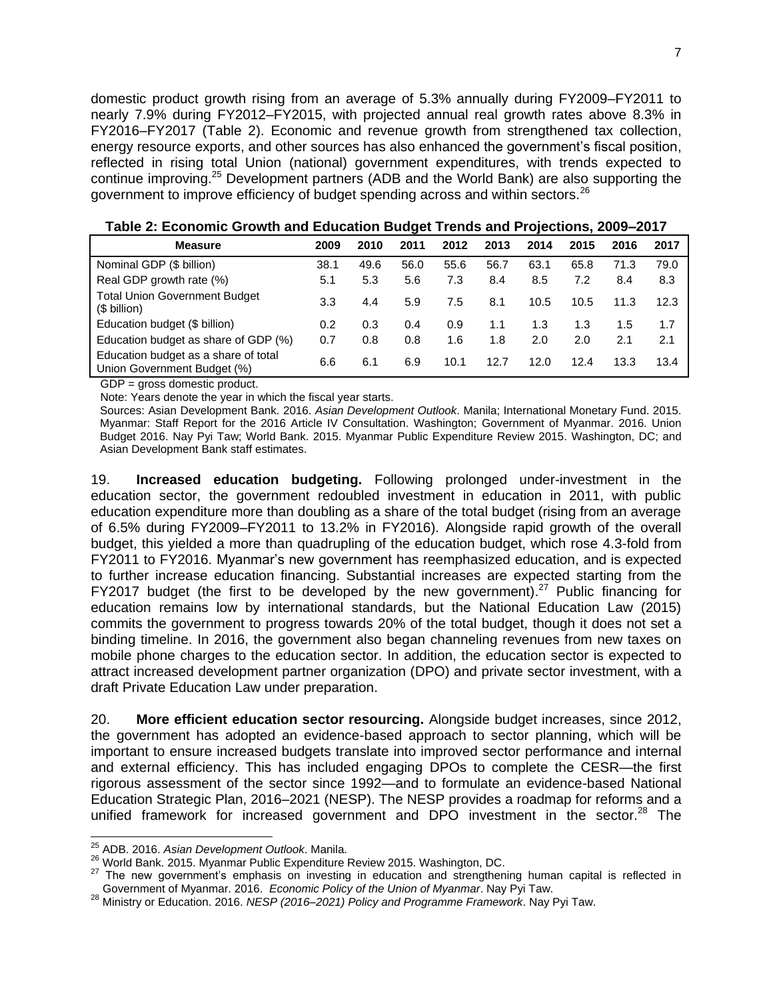domestic product growth rising from an average of 5.3% annually during FY2009–FY2011 to nearly 7.9% during FY2012–FY2015, with projected annual real growth rates above 8.3% in FY2016–FY2017 (Table 2). Economic and revenue growth from strengthened tax collection, energy resource exports, and other sources has also enhanced the government's fiscal position, reflected in rising total Union (national) government expenditures, with trends expected to continue improving.<sup>25</sup> Development partners (ADB and the World Bank) are also supporting the government to improve efficiency of budget spending across and within sectors.<sup>26</sup>

| <b>Measure</b>                                                      | 2009 | 2010 | 2011 | 2012 | 2013 | 2014 | 2015 | 2016 | 2017 |
|---------------------------------------------------------------------|------|------|------|------|------|------|------|------|------|
| Nominal GDP (\$ billion)                                            | 38.1 | 49.6 | 56.0 | 55.6 | 56.7 | 63.1 | 65.8 | 71.3 | 79.0 |
| Real GDP growth rate (%)                                            | 5.1  | 5.3  | 5.6  | 7.3  | 8.4  | 8.5  | 7.2  | 8.4  | 8.3  |
| <b>Total Union Government Budget</b><br>(\$ billion)                | 3.3  | 4.4  | 5.9  | 7.5  | 8.1  | 10.5 | 10.5 | 11.3 | 12.3 |
| Education budget (\$ billion)                                       | 0.2  | 0.3  | 0.4  | 0.9  | 1.1  | 1.3  | 1.3  | 1.5  | 1.7  |
| Education budget as share of GDP (%)                                | 0.7  | 0.8  | 0.8  | 1.6  | 1.8  | 2.0  | 2.0  | 2.1  | 2.1  |
| Education budget as a share of total<br>Union Government Budget (%) | 6.6  | 6.1  | 6.9  | 10.1 | 12.7 | 12.0 | 12.4 | 13.3 | 13.4 |

**Table 2: Economic Growth and Education Budget Trends and Projections, 2009–2017**

GDP = gross domestic product.

Note: Years denote the year in which the fiscal year starts.

Sources: Asian Development Bank. 2016. *Asian Development Outlook*. Manila; International Monetary Fund. 2015. Myanmar: Staff Report for the 2016 Article IV Consultation. Washington; Government of Myanmar. 2016. Union Budget 2016. Nay Pyi Taw; World Bank. 2015. Myanmar Public Expenditure Review 2015. Washington, DC; and Asian Development Bank staff estimates.

19. **Increased education budgeting.** Following prolonged under-investment in the education sector, the government redoubled investment in education in 2011, with public education expenditure more than doubling as a share of the total budget (rising from an average of 6.5% during FY2009–FY2011 to 13.2% in FY2016). Alongside rapid growth of the overall budget, this yielded a more than quadrupling of the education budget, which rose 4.3-fold from FY2011 to FY2016. Myanmar's new government has reemphasized education, and is expected to further increase education financing. Substantial increases are expected starting from the FY2017 budget (the first to be developed by the new government).<sup>27</sup> Public financing for education remains low by international standards, but the National Education Law (2015) commits the government to progress towards 20% of the total budget, though it does not set a binding timeline. In 2016, the government also began channeling revenues from new taxes on mobile phone charges to the education sector. In addition, the education sector is expected to attract increased development partner organization (DPO) and private sector investment, with a draft Private Education Law under preparation.

20. **More efficient education sector resourcing.** Alongside budget increases, since 2012, the government has adopted an evidence-based approach to sector planning, which will be important to ensure increased budgets translate into improved sector performance and internal and external efficiency. This has included engaging DPOs to complete the CESR—the first rigorous assessment of the sector since 1992—and to formulate an evidence-based National Education Strategic Plan, 2016–2021 (NESP). The NESP provides a roadmap for reforms and a unified framework for increased government and DPO investment in the sector.<sup>28</sup> The

 $\overline{a}$ 

<sup>25</sup> ADB. 2016. *Asian Development Outlook*. Manila.

<sup>26</sup> World Bank. 2015. Myanmar Public Expenditure Review 2015. Washington, DC.

<sup>&</sup>lt;sup>27</sup> The new government's emphasis on investing in education and strengthening human capital is reflected in Government of Myanmar. 2016. *Economic Policy of the Union of Myanmar*. Nay Pyi Taw.

<sup>28</sup> Ministry or Education. 2016. *NESP (2016–2021) Policy and Programme Framework*. Nay Pyi Taw.